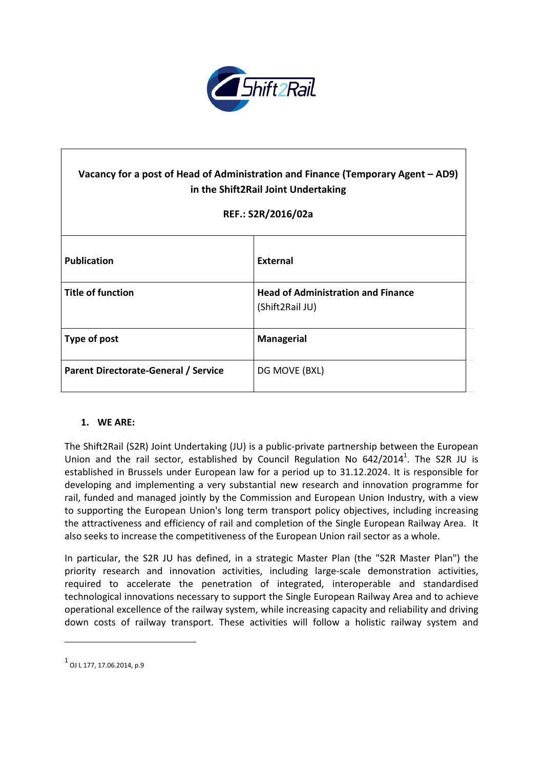

# **Vacancy for a post of Head of Administration and Finance (Temporary Agent – AD9) in the Shift2Rail Joint Undertaking**

# **REF.: S2R/2016/02a**

| <b>Publication</b>                   | External                                                     |
|--------------------------------------|--------------------------------------------------------------|
| <b>Title of function</b>             | <b>Head of Administration and Finance</b><br>(Shift2Rail JU) |
| Type of post                         | <b>Managerial</b>                                            |
| Parent Directorate-General / Service | DG MOVE (BXL)                                                |

### **1. WE ARE:**

The Shift2Rail (S2R) Joint Undertaking (JU) is a public-private partnership between the European Union and the rail sector, established by Council Regulation No  $642/2014^1$ . The S2R JU is established in Brussels under European law for a period up to 31.12.2024. It is responsible for developing and implementing a very substantial new research and innovation programme for rail, funded and managed jointly by the Commission and European Union Industry, with a view to supporting the European Union's long term transport policy objectives, including increasing the attractiveness and efficiency of rail and completion of the Single European Railway Area. It also seeks to increase the competitiveness of the European Union rail sector as a whole.

In particular, the S2R JU has defined, in a strategic Master Plan (the "S2R Master Plan") the priority research and innovation activities, including large-scale demonstration activities, required to accelerate the penetration of integrated, interoperable and standardised technological innovations necessary to support the Single European Railway Area and to achieve operational excellence of the railway system, while increasing capacity and reliability and driving down costs of railway transport. These activities will follow a holistic railway system and

 $\overline{a}$ 

 $^{\rm 1}$  OJ L 177, 17.06.2014, p.9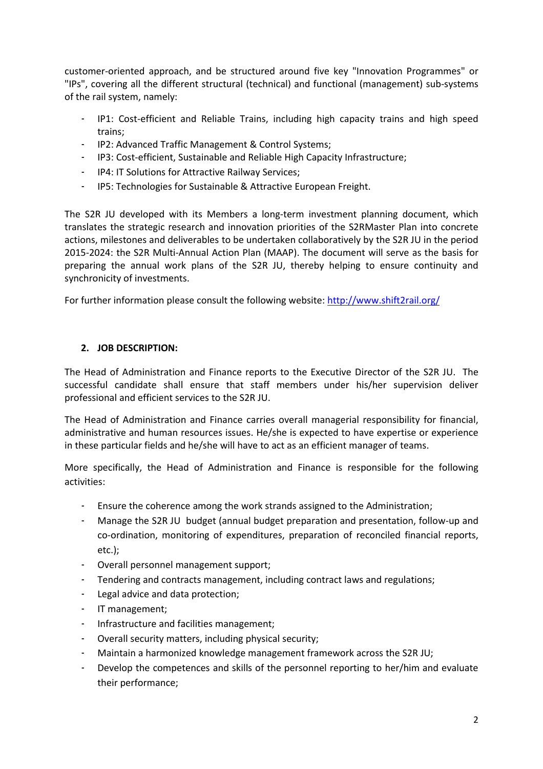customer-oriented approach, and be structured around five key "Innovation Programmes" or "IPs", covering all the different structural (technical) and functional (management) sub-systems of the rail system, namely:

- IP1: Cost-efficient and Reliable Trains, including high capacity trains and high speed trains;
- IP2: Advanced Traffic Management & Control Systems;
- IP3: Cost-efficient, Sustainable and Reliable High Capacity Infrastructure;
- IP4: IT Solutions for Attractive Railway Services;
- IP5: Technologies for Sustainable & Attractive European Freight.

The S2R JU developed with its Members a long-term investment planning document, which translates the strategic research and innovation priorities of the S2RMaster Plan into concrete actions, milestones and deliverables to be undertaken collaboratively by the S2R JU in the period 2015-2024: the S2R Multi-Annual Action Plan (MAAP). The document will serve as the basis for preparing the annual work plans of the S2R JU, thereby helping to ensure continuity and synchronicity of investments.

For further information please consult the following website: <http://www.shift2rail.org/>

# **2. JOB DESCRIPTION:**

The Head of Administration and Finance reports to the Executive Director of the S2R JU. The successful candidate shall ensure that staff members under his/her supervision deliver professional and efficient services to the S2R JU.

The Head of Administration and Finance carries overall managerial responsibility for financial, administrative and human resources issues. He/she is expected to have expertise or experience in these particular fields and he/she will have to act as an efficient manager of teams.

More specifically, the Head of Administration and Finance is responsible for the following activities:

- Ensure the coherence among the work strands assigned to the Administration;
- Manage the S2R JU budget (annual budget preparation and presentation, follow-up and co-ordination, monitoring of expenditures, preparation of reconciled financial reports, etc.);
- Overall personnel management support;
- Tendering and contracts management, including contract laws and regulations;
- Legal advice and data protection;
- IT management;
- Infrastructure and facilities management;
- Overall security matters, including physical security;
- Maintain a harmonized knowledge management framework across the S2R JU;
- Develop the competences and skills of the personnel reporting to her/him and evaluate their performance;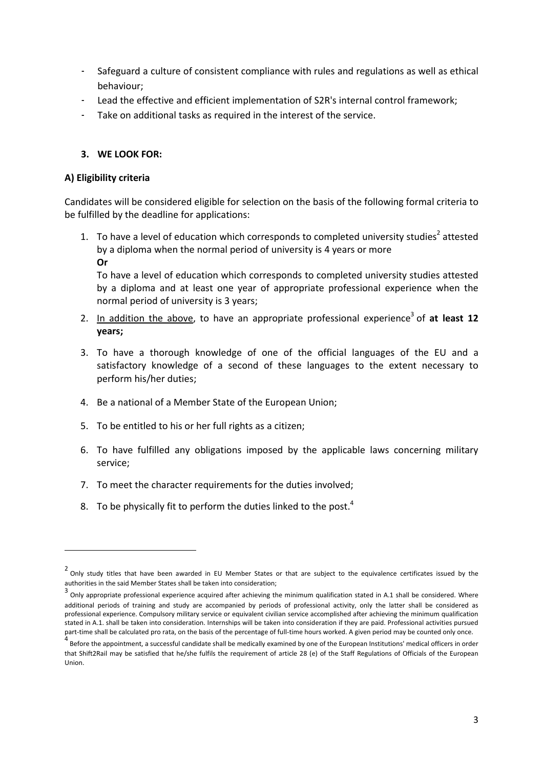- Safeguard a culture of consistent compliance with rules and regulations as well as ethical behaviour;
- Lead the effective and efficient implementation of S2R's internal control framework;
- Take on additional tasks as required in the interest of the service.

## **3. WE LOOK FOR:**

#### **A) Eligibility criteria**

Candidates will be considered eligible for selection on the basis of the following formal criteria to be fulfilled by the deadline for applications:

- 1. To have a level of education which corresponds to completed university studies<sup>2</sup> attested by a diploma when the normal period of university is 4 years or more
	- **Or**

1

To have a level of education which corresponds to completed university studies attested by a diploma and at least one year of appropriate professional experience when the normal period of university is 3 years;

- 2. In addition the above, to have an appropriate professional experience<sup>3</sup> of at least 12 **years;**
- 3. To have a thorough knowledge of one of the official languages of the EU and a satisfactory knowledge of a second of these languages to the extent necessary to perform his/her duties;
- 4. Be a national of a Member State of the European Union;
- 5. To be entitled to his or her full rights as a citizen;
- 6. To have fulfilled any obligations imposed by the applicable laws concerning military service;
- 7. To meet the character requirements for the duties involved;
- 8. To be physically fit to perform the duties linked to the post. $4$

<sup>&</sup>lt;sup>2</sup> Only study titles that have been awarded in EU Member States or that are subject to the equivalence certificates issued by the authorities in the said Member States shall be taken into consideration;

<sup>3</sup> Only appropriate professional experience acquired after achieving the minimum qualification stated in A.1 shall be considered. Where additional periods of training and study are accompanied by periods of professional activity, only the latter shall be considered as professional experience. Compulsory military service or equivalent civilian service accomplished after achieving the minimum qualification stated in A.1. shall be taken into consideration. Internships will be taken into consideration if they are paid. Professional activities pursued part-time shall be calculated pro rata, on the basis of the percentage of full-time hours worked. A given period may be counted only once.

<sup>4</sup> Before the appointment, a successful candidate shall be medically examined by one of the European Institutions' medical officers in order that Shift2Rail may be satisfied that he/she fulfils the requirement of article 28 (e) of the Staff Regulations of Officials of the European Union.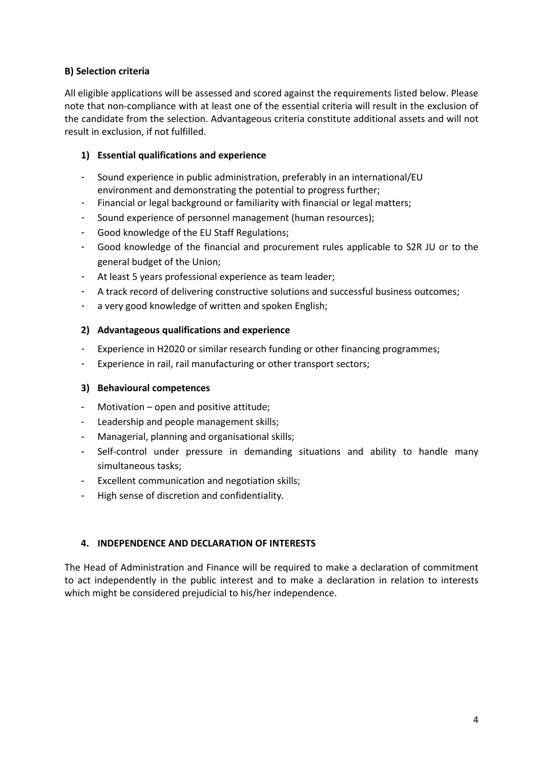# **B) Selection criteria**

All eligible applications will be assessed and scored against the requirements listed below. Please note that non-compliance with at least one of the essential criteria will result in the exclusion of the candidate from the selection. Advantageous criteria constitute additional assets and will not result in exclusion, if not fulfilled.

# **1) Essential qualifications and experience**

- Sound experience in public administration, preferably in an international/EU environment and demonstrating the potential to progress further;
- Financial or legal background or familiarity with financial or legal matters;
- Sound experience of personnel management (human resources);
- Good knowledge of the EU Staff Regulations;
- Good knowledge of the financial and procurement rules applicable to S2R JU or to the general budget of the Union;
- At least 5 years professional experience as team leader;
- A track record of delivering constructive solutions and successful business outcomes;
- a very good knowledge of written and spoken English;

### **2) Advantageous qualifications and experience**

- Experience in H2020 or similar research funding or other financing programmes;
- Experience in rail, rail manufacturing or other transport sectors;

## **3) Behavioural competences**

- Motivation open and positive attitude;
- Leadership and people management skills;
- Managerial, planning and organisational skills;
- Self-control under pressure in demanding situations and ability to handle many simultaneous tasks;
- Excellent communication and negotiation skills;
- High sense of discretion and confidentiality.

# **4. INDEPENDENCE AND DECLARATION OF INTERESTS**

The Head of Administration and Finance will be required to make a declaration of commitment to act independently in the public interest and to make a declaration in relation to interests which might be considered prejudicial to his/her independence.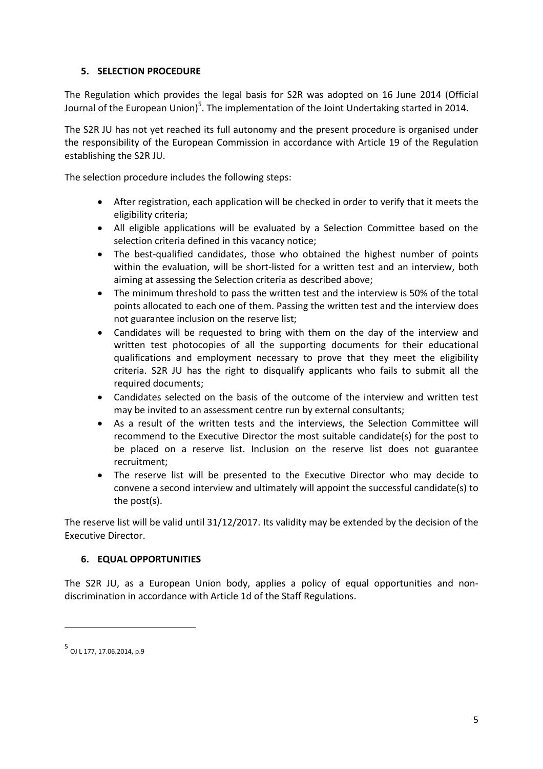# **5. SELECTION PROCEDURE**

The Regulation which provides the legal basis for S2R was adopted on 16 June 2014 (Official Journal of the European Union)<sup>5</sup>. The implementation of the Joint Undertaking started in 2014.

The S2R JU has not yet reached its full autonomy and the present procedure is organised under the responsibility of the European Commission in accordance with Article 19 of the Regulation establishing the S2R JU.

The selection procedure includes the following steps:

- After registration, each application will be checked in order to verify that it meets the eligibility criteria;
- All eligible applications will be evaluated by a Selection Committee based on the selection criteria defined in this vacancy notice;
- The best-qualified candidates, those who obtained the highest number of points within the evaluation, will be short-listed for a written test and an interview, both aiming at assessing the Selection criteria as described above;
- The minimum threshold to pass the written test and the interview is 50% of the total points allocated to each one of them. Passing the written test and the interview does not guarantee inclusion on the reserve list;
- Candidates will be requested to bring with them on the day of the interview and written test photocopies of all the supporting documents for their educational qualifications and employment necessary to prove that they meet the eligibility criteria. S2R JU has the right to disqualify applicants who fails to submit all the required documents;
- Candidates selected on the basis of the outcome of the interview and written test may be invited to an assessment centre run by external consultants;
- As a result of the written tests and the interviews, the Selection Committee will recommend to the Executive Director the most suitable candidate(s) for the post to be placed on a reserve list. Inclusion on the reserve list does not guarantee recruitment;
- The reserve list will be presented to the Executive Director who may decide to convene a second interview and ultimately will appoint the successful candidate(s) to the post(s).

The reserve list will be valid until 31/12/2017. Its validity may be extended by the decision of the Executive Director.

# **6. EQUAL OPPORTUNITIES**

The S2R JU, as a European Union body, applies a policy of equal opportunities and nondiscrimination in accordance with Article 1d of the Staff Regulations.

 $\overline{a}$ 

<sup>5</sup> OJ L 177, 17.06.2014, p.9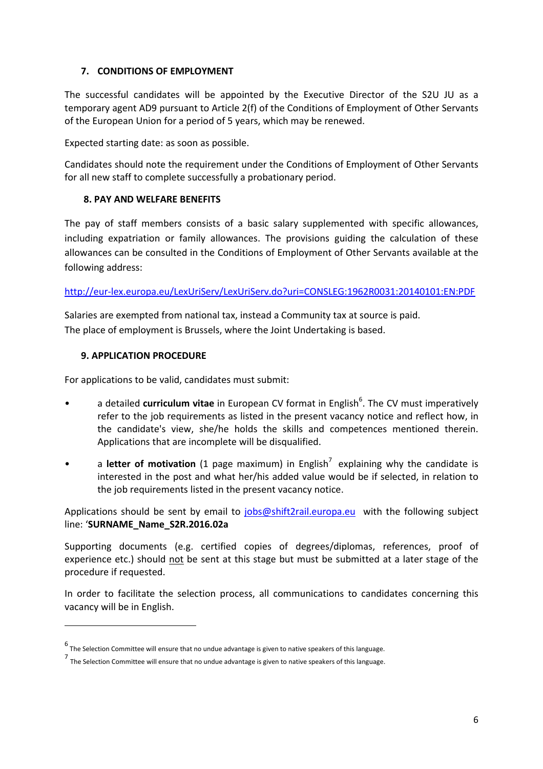# **7. CONDITIONS OF EMPLOYMENT**

The successful candidates will be appointed by the Executive Director of the S2U JU as a temporary agent AD9 pursuant to Article 2(f) of the Conditions of Employment of Other Servants of the European Union for a period of 5 years, which may be renewed.

Expected starting date: as soon as possible.

Candidates should note the requirement under the Conditions of Employment of Other Servants for all new staff to complete successfully a probationary period.

### **8. PAY AND WELFARE BENEFITS**

The pay of staff members consists of a basic salary supplemented with specific allowances, including expatriation or family allowances. The provisions guiding the calculation of these allowances can be consulted in the Conditions of Employment of Other Servants available at the following address:

<http://eur-lex.europa.eu/LexUriServ/LexUriServ.do?uri=CONSLEG:1962R0031:20140101:EN:PDF>

Salaries are exempted from national tax, instead a Community tax at source is paid. The place of employment is Brussels, where the Joint Undertaking is based.

#### **9. APPLICATION PROCEDURE**

 $\overline{a}$ 

For applications to be valid, candidates must submit:

- a detailed **curriculum vitae** in European CV format in English<sup>6</sup>. The CV must imperatively refer to the job requirements as listed in the present vacancy notice and reflect how, in the candidate's view, she/he holds the skills and competences mentioned therein. Applications that are incomplete will be disqualified.
- a letter of motivation (1 page maximum) in English<sup>7</sup> explaining why the candidate is interested in the post and what her/his added value would be if selected, in relation to the job requirements listed in the present vacancy notice.

Applications should be sent by email to [jobs@shift2rail.europa.eu](mailto:jobs@shift2rail.europa.eu) with the following subject line: '**SURNAME\_Name\_S2R.2016.02a**

Supporting documents (e.g. certified copies of degrees/diplomas, references, proof of experience etc.) should not be sent at this stage but must be submitted at a later stage of the procedure if requested.

In order to facilitate the selection process, all communications to candidates concerning this vacancy will be in English.

<sup>6</sup> The Selection Committee will ensure that no undue advantage is given to native speakers of this language.

<sup>7</sup> The Selection Committee will ensure that no undue advantage is given to native speakers of this language.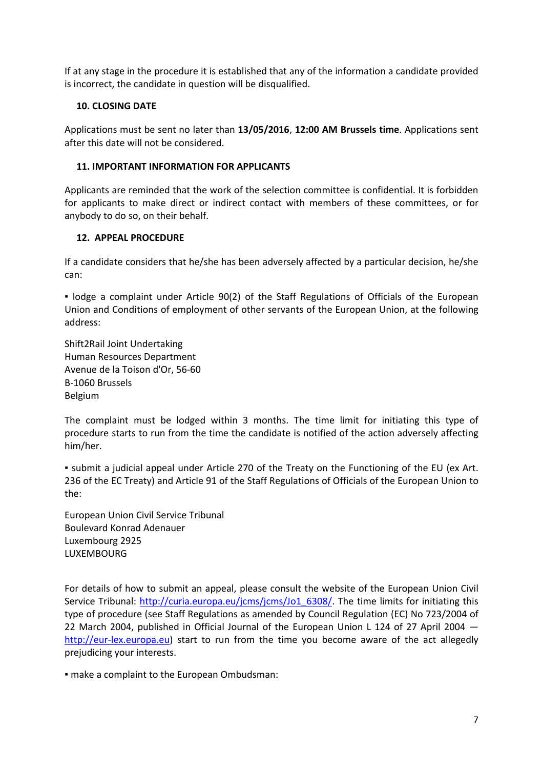If at any stage in the procedure it is established that any of the information a candidate provided is incorrect, the candidate in question will be disqualified.

# **10. CLOSING DATE**

Applications must be sent no later than **13/05/2016**, **12:00 AM Brussels time**. Applications sent after this date will not be considered.

## **11. IMPORTANT INFORMATION FOR APPLICANTS**

Applicants are reminded that the work of the selection committee is confidential. It is forbidden for applicants to make direct or indirect contact with members of these committees, or for anybody to do so, on their behalf.

# **12. APPEAL PROCEDURE**

If a candidate considers that he/she has been adversely affected by a particular decision, he/she can:

▪ lodge a complaint under Article 90(2) of the Staff Regulations of Officials of the European Union and Conditions of employment of other servants of the European Union, at the following address:

Shift2Rail Joint Undertaking Human Resources Department Avenue de la Toison d'Or, 56-60 B-1060 Brussels Belgium

The complaint must be lodged within 3 months. The time limit for initiating this type of procedure starts to run from the time the candidate is notified of the action adversely affecting him/her.

▪ submit a judicial appeal under Article 270 of the Treaty on the Functioning of the EU (ex Art. 236 of the EC Treaty) and Article 91 of the Staff Regulations of Officials of the European Union to the:

European Union Civil Service Tribunal Boulevard Konrad Adenauer Luxembourg 2925 LUXEMBOURG

For details of how to submit an appeal, please consult the website of the European Union Civil Service Tribunal: [http://curia.europa.eu/jcms/jcms/Jo1\\_6308/.](http://curia.europa.eu/jcms/jcms/Jo1_6308/) The time limits for initiating this type of procedure (see Staff Regulations as amended by Council Regulation (EC) No 723/2004 of 22 March 2004, published in Official Journal of the European Union L 124 of 27 April 2004 [http://eur-lex.europa.eu\)](http://eur-lex.europa.eu/) start to run from the time you become aware of the act allegedly prejudicing your interests.

▪ make a complaint to the European Ombudsman: